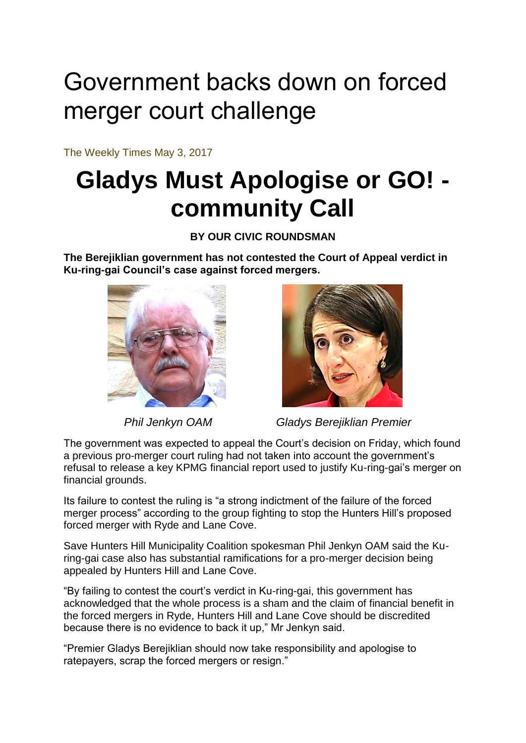## Government backs down on forced merger court challenge

The Weekly Times May 3, 2017

## **Gladys Must Apologise or GO! community Call**

**BY OUR CIVIC ROUNDSMAN**

**The Berejiklian government has not contested the Court of Appeal verdict in Ku-ring-gai Council's case against forced mergers.**





 *Phil Jenkyn OAM Gladys Berejiklian Premier*

The government was expected to appeal the Court's decision on Friday, which found a previous pro-merger court ruling had not taken into account the government's refusal to release a key KPMG financial report used to justify Ku-ring-gai's merger on financial grounds.

Its failure to contest the ruling is "a strong indictment of the failure of the forced merger process" according to the group fighting to stop the Hunters Hill's proposed forced merger with Ryde and Lane Cove.

Save Hunters Hill Municipality Coalition spokesman Phil Jenkyn OAM said the Kuring-gai case also has substantial ramifications for a pro-merger decision being appealed by Hunters Hill and Lane Cove.

"By failing to contest the court's verdict in Ku-ring-gai, this government has acknowledged that the whole process is a sham and the claim of financial benefit in the forced mergers in Ryde, Hunters Hill and Lane Cove should be discredited because there is no evidence to back it up," Mr Jenkyn said.

"Premier Gladys Berejiklian should now take responsibility and apologise to ratepayers, scrap the forced mergers or resign."